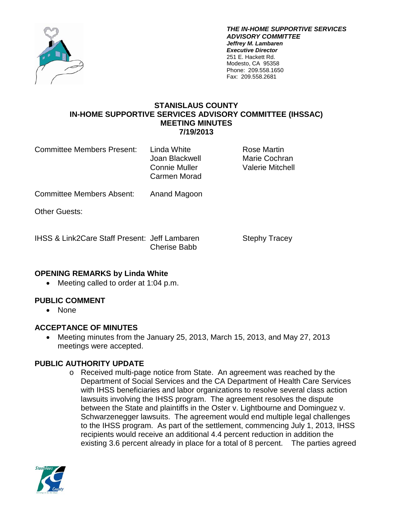

*THE IN-HOME SUPPORTIVE SERVICES ADVISORY COMMITTEE Jeffrey M. Lambaren Executive Director* 251 E. Hackett Rd. Modesto, CA 95358 Phone: 209.558.1650 Fax: 209.558.2681

#### **STANISLAUS COUNTY IN-HOME SUPPORTIVE SERVICES ADVISORY COMMITTEE (IHSSAC) MEETING MINUTES 7/19/2013**

Committee Members Present: Linda White The Rose Martin

Carmen Morad

Joan Blackwell Marie Cochran Connie Muller Valerie Mitchell

Committee Members Absent: Anand Magoon

Other Guests:

IHSS & Link2Care Staff Present: Jeff Lambaren Stephy Tracey Cherise Babb

## **OPENING REMARKS by Linda White**

• Meeting called to order at 1:04 p.m.

# **PUBLIC COMMENT**

• None

## **ACCEPTANCE OF MINUTES**

• Meeting minutes from the January 25, 2013, March 15, 2013, and May 27, 2013 meetings were accepted.

## **PUBLIC AUTHORITY UPDATE**

o Received multi-page notice from State. An agreement was reached by the Department of Social Services and the CA Department of Health Care Services with IHSS beneficiaries and labor organizations to resolve several class action lawsuits involving the IHSS program. The agreement resolves the dispute between the State and plaintiffs in the Oster v. Lightbourne and Dominguez v. Schwarzenegger lawsuits. The agreement would end multiple legal challenges to the IHSS program. As part of the settlement, commencing July 1, 2013, IHSS recipients would receive an additional 4.4 percent reduction in addition the existing 3.6 percent already in place for a total of 8 percent. The parties agreed

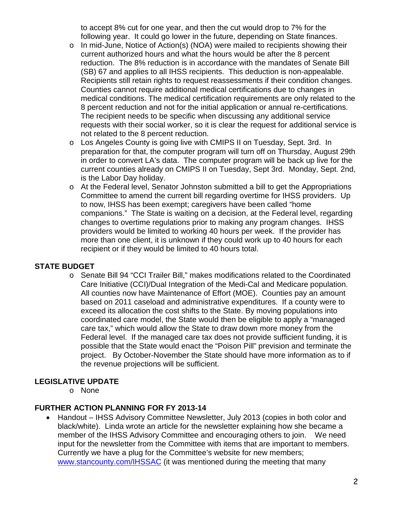to accept 8% cut for one year, and then the cut would drop to 7% for the following year. It could go lower in the future, depending on State finances.

- o In mid-June, Notice of Action(s) (NOA) were mailed to recipients showing their current authorized hours and what the hours would be after the 8 percent reduction. The 8% reduction is in accordance with the mandates of Senate Bill (SB) 67 and applies to all IHSS recipients. This deduction is non-appealable. Recipients still retain rights to request reassessments if their condition changes. Counties cannot require additional medical certifications due to changes in medical conditions. The medical certification requirements are only related to the 8 percent reduction and not for the initial application or annual re-certifications. The recipient needs to be specific when discussing any additional service requests with their social worker, so it is clear the request for additional service is not related to the 8 percent reduction.
- o Los Angeles County is going live with CMIPS II on Tuesday, Sept. 3rd. In preparation for that, the computer program will turn off on Thursday, August 29th in order to convert LA's data. The computer program will be back up live for the current counties already on CMIPS II on Tuesday, Sept 3rd. Monday, Sept. 2nd, is the Labor Day holiday.
- o At the Federal level, Senator Johnston submitted a bill to get the Appropriations Committee to amend the current bill regarding overtime for IHSS providers. Up to now, IHSS has been exempt; caregivers have been called "home companions." The State is waiting on a decision, at the Federal level, regarding changes to overtime regulations prior to making any program changes. IHSS providers would be limited to working 40 hours per week. If the provider has more than one client, it is unknown if they could work up to 40 hours for each recipient or if they would be limited to 40 hours total.

## **STATE BUDGET**

o Senate Bill 94 "CCI Trailer Bill," makes modifications related to the Coordinated Care Initiative (CCI)/Dual Integration of the Medi-Cal and Medicare population. All counties now have Maintenance of Effort (MOE). Counties pay an amount based on 2011 caseload and administrative expenditures. If a county were to exceed its allocation the cost shifts to the State. By moving populations into coordinated care model, the State would then be eligible to apply a "managed care tax," which would allow the State to draw down more money from the Federal level. If the managed care tax does not provide sufficient funding, it is possible that the State would enact the "Poison Pill" prevision and terminate the project. By October-November the State should have more information as to if the revenue projections will be sufficient.

#### **LEGISLATIVE UPDATE**

o None

#### **FURTHER ACTION PLANNING FOR FY 2013-14**

• Handout – IHSS Advisory Committee Newsletter, July 2013 (copies in both color and black/white). Linda wrote an article for the newsletter explaining how she became a member of the IHSS Advisory Committee and encouraging others to join. We need input for the newsletter from the Committee with items that are important to members. Currently we have a plug for the Committee's website for new members; [www.stancounty.com/IHSSAC](http://www.stancounty.com/IHSSAC) (it was mentioned during the meeting that many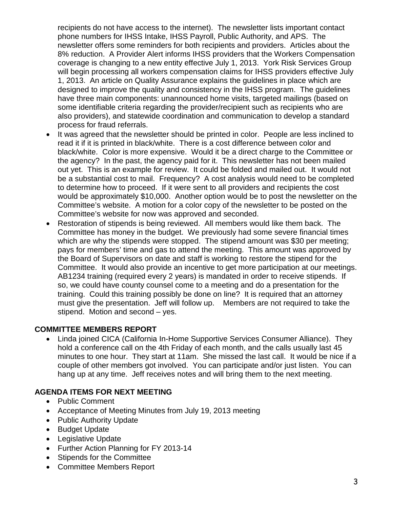recipients do not have access to the internet). The newsletter lists important contact phone numbers for IHSS Intake, IHSS Payroll, Public Authority, and APS. The newsletter offers some reminders for both recipients and providers. Articles about the 8% reduction. A Provider Alert informs IHSS providers that the Workers Compensation coverage is changing to a new entity effective July 1, 2013. York Risk Services Group will begin processing all workers compensation claims for IHSS providers effective July 1, 2013. An article on Quality Assurance explains the guidelines in place which are designed to improve the quality and consistency in the IHSS program. The guidelines have three main components: unannounced home visits, targeted mailings (based on some identifiable criteria regarding the provider/recipient such as recipients who are also providers), and statewide coordination and communication to develop a standard process for fraud referrals.

- It was agreed that the newsletter should be printed in color. People are less inclined to read it if it is printed in black/white. There is a cost difference between color and black/white. Color is more expensive. Would it be a direct charge to the Committee or the agency? In the past, the agency paid for it. This newsletter has not been mailed out yet. This is an example for review. It could be folded and mailed out. It would not be a substantial cost to mail. Frequency? A cost analysis would need to be completed to determine how to proceed. If it were sent to all providers and recipients the cost would be approximately \$10,000. Another option would be to post the newsletter on the Committee's website. A motion for a color copy of the newsletter to be posted on the Committee's website for now was approved and seconded.
- Restoration of stipends is being reviewed. All members would like them back. The Committee has money in the budget. We previously had some severe financial times which are why the stipends were stopped. The stipend amount was \$30 per meeting; pays for members' time and gas to attend the meeting. This amount was approved by the Board of Supervisors on date and staff is working to restore the stipend for the Committee. It would also provide an incentive to get more participation at our meetings. AB1234 training (required every 2 years) is mandated in order to receive stipends. If so, we could have county counsel come to a meeting and do a presentation for the training. Could this training possibly be done on line? It is required that an attorney must give the presentation. Jeff will follow up. Members are not required to take the stipend. Motion and second – yes.

## **COMMITTEE MEMBERS REPORT**

• Linda joined CICA (California In-Home Supportive Services Consumer Alliance). They hold a conference call on the 4th Friday of each month, and the calls usually last 45 minutes to one hour. They start at 11am. She missed the last call. It would be nice if a couple of other members got involved. You can participate and/or just listen. You can hang up at any time. Jeff receives notes and will bring them to the next meeting.

#### **AGENDA ITEMS FOR NEXT MEETING**

- Public Comment
- Acceptance of Meeting Minutes from July 19, 2013 meeting
- Public Authority Update
- Budget Update
- Legislative Update
- Further Action Planning for FY 2013-14
- Stipends for the Committee
- Committee Members Report